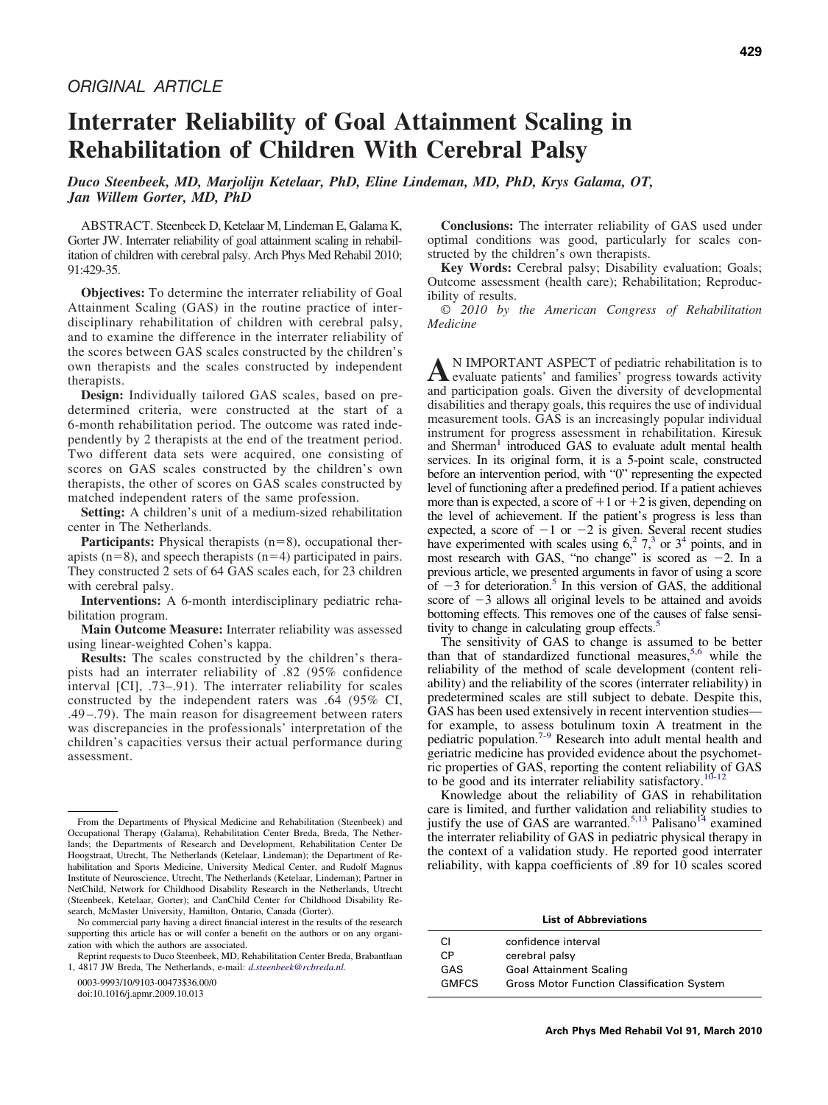# **Interrater Reliability of Goal Attainment Scaling in Rehabilitation of Children With Cerebral Palsy**

*Duco Steenbeek, MD, Marjolijn Ketelaar, PhD, Eline Lindeman, MD, PhD, Krys Galama, OT, Jan Willem Gorter, MD, PhD*

ABSTRACT. Steenbeek D, Ketelaar M, Lindeman E, Galama K, Gorter JW. Interrater reliability of goal attainment scaling in rehabilitation of children with cerebral palsy. Arch Phys Med Rehabil 2010; 91:429-35.

**Objectives:** To determine the interrater reliability of Goal Attainment Scaling (GAS) in the routine practice of interdisciplinary rehabilitation of children with cerebral palsy, and to examine the difference in the interrater reliability of the scores between GAS scales constructed by the children's own therapists and the scales constructed by independent therapists.

**Design:** Individually tailored GAS scales, based on predetermined criteria, were constructed at the start of a 6-month rehabilitation period. The outcome was rated independently by 2 therapists at the end of the treatment period. Two different data sets were acquired, one consisting of scores on GAS scales constructed by the children's own therapists, the other of scores on GAS scales constructed by matched independent raters of the same profession.

**Setting:** A children's unit of a medium-sized rehabilitation center in The Netherlands.

**Participants:** Physical therapists  $(n=8)$ , occupational therapists ( $n=8$ ), and speech therapists ( $n=4$ ) participated in pairs. They constructed 2 sets of 64 GAS scales each, for 23 children with cerebral palsy.

**Interventions:** A 6-month interdisciplinary pediatric rehabilitation program.

**Main Outcome Measure:** Interrater reliability was assessed using linear-weighted Cohen's kappa.

**Results:** The scales constructed by the children's therapists had an interrater reliability of .82 (95% confidence interval [CI], .73–.91). The interrater reliability for scales constructed by the independent raters was .64 (95% CI, .49–.79). The main reason for disagreement between raters was discrepancies in the professionals' interpretation of the children's capacities versus their actual performance during assessment.

0003-9993/10/9103-00473\$36.00/0 doi:10.1016/j.apmr.2009.10.013

**Conclusions:** The interrater reliability of GAS used under optimal conditions was good, particularly for scales constructed by the children's own therapists.

**Key Words:** Cerebral palsy; Disability evaluation; Goals; Outcome assessment (health care); Rehabilitation; Reproducibility of results.

© *2010 by the American Congress of Rehabilitation Medicine*

AN IMPORTANT ASPECT of pediatric rehabilitation is to evaluate patients' and families' progress towards activity and participation goals. Given the diversity of developmental disabilities and therapy goals, this requires the use of individual measurement tools. GAS is an increasingly popular individual instrument for progress assessment in rehabilitation. Kiresuk and Sherman<sup>1</sup> introduced GAS to evaluate adult mental health services. In its original form, it is a 5-point scale, constructed before an intervention period, with "0" representing the expected level of functioning after a predefined period. If a patient achieves more than is expected, a score of  $+1$  or  $+2$  is given, depending on the level of achievement. If the patient's progress is less than expected, a score of  $-1$  or  $-2$  is given. Several recent studies have experimented with scales using  $6<sup>2</sup>$ ,  $7<sup>3</sup>$  or  $3<sup>4</sup>$  points, and in most research with GAS, "no change" is scored as  $-2$ . In a previous article, we presented arguments in favor of using a score of  $-3$  for deterioration.<sup>5</sup> In this version of GAS, the additional score of  $-3$  allows all original levels to be attained and avoids bottoming effects. This removes one of the causes of false sensitivity to change in calculating group effects.<sup>5</sup>

The sensitivity of GAS to change is assumed to be better than that of standardized functional measures,  $5.6$  while the reliability of the method of scale development (content reliability) and the reliability of the scores (interrater reliability) in predetermined scales are still subject to debate. Despite this, GAS has been used extensively in recent intervention studies for example, to assess botulinum toxin A treatment in the pediatric population.[7-9](#page-6-0) Research into adult mental health and geriatric medicine has provided evidence about the psychometric properties of GAS, reporting the content reliability of GAS to be good and its interrater reliability satisfactory.<sup>10-1</sup>

Knowledge about the reliability of GAS in rehabilitation care is limited, and further validation and reliability studies to justify the use of GAS are warranted.<sup>5,13</sup> Palisano<sup>[14](#page-6-0)</sup> examined the interrater reliability of GAS in pediatric physical therapy in the context of a validation study. He reported good interrater reliability, with kappa coefficients of .89 for 10 scales scored

**List of Abbreviations**

| CI           | confidence interval                               |
|--------------|---------------------------------------------------|
| C.P          | cerebral palsy                                    |
| GAS          | <b>Goal Attainment Scaling</b>                    |
| <b>GMFCS</b> | <b>Gross Motor Function Classification System</b> |
|              |                                                   |

From the Departments of Physical Medicine and Rehabilitation (Steenbeek) and Occupational Therapy (Galama), Rehabilitation Center Breda, Breda, The Netherlands; the Departments of Research and Development, Rehabilitation Center De Hoogstraat, Utrecht, The Netherlands (Ketelaar, Lindeman); the Department of Rehabilitation and Sports Medicine, University Medical Center, and Rudolf Magnus Institute of Neuroscience, Utrecht, The Netherlands (Ketelaar, Lindeman); Partner in NetChild, Network for Childhood Disability Research in the Netherlands, Utrecht (Steenbeek, Ketelaar, Gorter); and CanChild Center for Childhood Disability Research, McMaster University, Hamilton, Ontario, Canada (Gorter).

No commercial party having a direct financial interest in the results of the research supporting this article has or will confer a benefit on the authors or on any organization with which the authors are associated.

Reprint requests to Duco Steenbeek, MD, Rehabilitation Center Breda, Brabantlaan 1, 4817 JW Breda, The Netherlands, e-mail: *[d.steenbeek@rcbreda.nl.](mailto:d.steenbeek@rcbreda.nl)*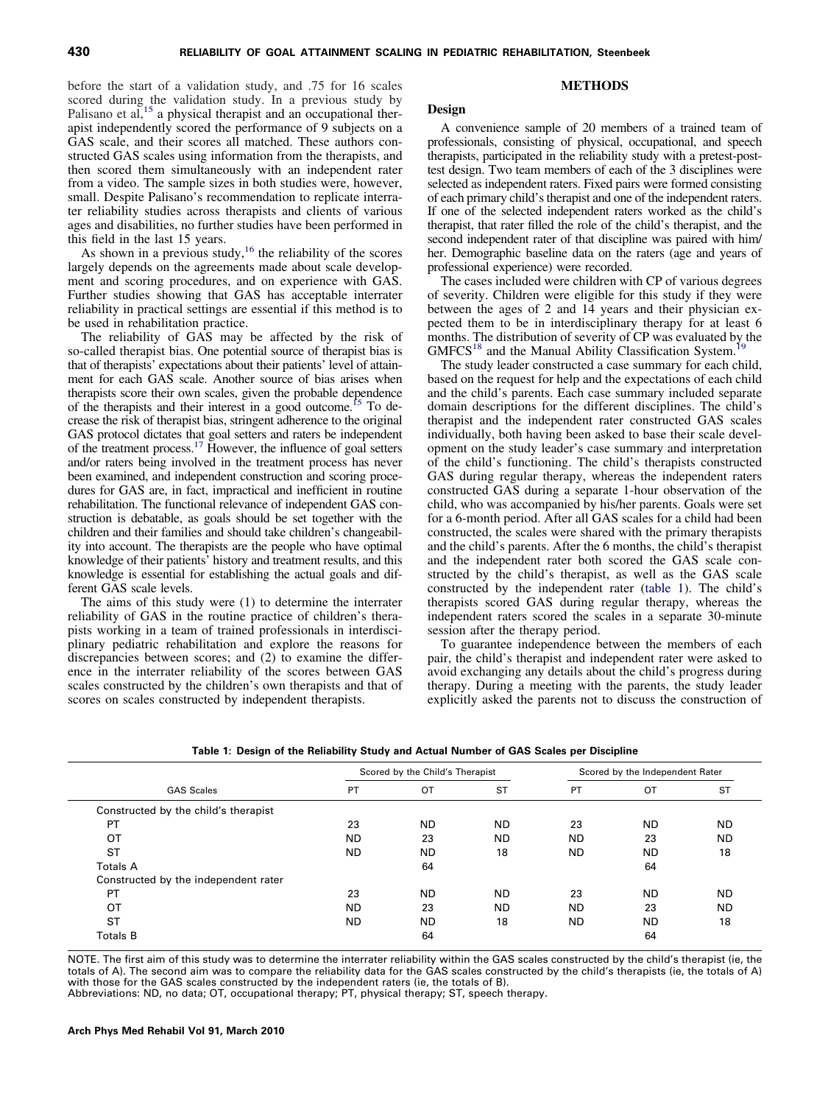<span id="page-1-0"></span>before the start of a validation study, and .75 for 16 scales scored during the validation study. In a previous study by Palisano et al,<sup>[15](#page-6-0)</sup> a physical therapist and an occupational therapist independently scored the performance of 9 subjects on a GAS scale, and their scores all matched. These authors constructed GAS scales using information from the therapists, and then scored them simultaneously with an independent rater from a video. The sample sizes in both studies were, however, small. Despite Palisano's recommendation to replicate interrater reliability studies across therapists and clients of various ages and disabilities, no further studies have been performed in this field in the last 15 years.

As shown in a previous study,<sup>16</sup> the reliability of the scores largely depends on the agreements made about scale development and scoring procedures, and on experience with GAS. Further studies showing that GAS has acceptable interrater reliability in practical settings are essential if this method is to be used in rehabilitation practice.

The reliability of GAS may be affected by the risk of so-called therapist bias. One potential source of therapist bias is that of therapists' expectations about their patients' level of attainment for each GAS scale. Another source of bias arises when therapists score their own scales, given the probable dependence of the therapists and their interest in a good outcome[.15](#page-6-0) To decrease the risk of therapist bias, stringent adherence to the original GAS protocol dictates that goal setters and raters be independent of the treatment process.<sup>17</sup> However, the influence of goal setters and/or raters being involved in the treatment process has never been examined, and independent construction and scoring procedures for GAS are, in fact, impractical and inefficient in routine rehabilitation. The functional relevance of independent GAS construction is debatable, as goals should be set together with the children and their families and should take children's changeability into account. The therapists are the people who have optimal knowledge of their patients' history and treatment results, and this knowledge is essential for establishing the actual goals and different GAS scale levels.

The aims of this study were (1) to determine the interrater reliability of GAS in the routine practice of children's therapists working in a team of trained professionals in interdisciplinary pediatric rehabilitation and explore the reasons for discrepancies between scores; and (2) to examine the difference in the interrater reliability of the scores between GAS scales constructed by the children's own therapists and that of scores on scales constructed by independent therapists.

## **METHODS**

## **Design**

A convenience sample of 20 members of a trained team of professionals, consisting of physical, occupational, and speech therapists, participated in the reliability study with a pretest-posttest design. Two team members of each of the 3 disciplines were selected as independent raters. Fixed pairs were formed consisting of each primary child's therapist and one of the independent raters. If one of the selected independent raters worked as the child's therapist, that rater filled the role of the child's therapist, and the second independent rater of that discipline was paired with him/ her. Demographic baseline data on the raters (age and years of professional experience) were recorded.

The cases included were children with CP of various degrees of severity. Children were eligible for this study if they were between the ages of 2 and 14 years and their physician expected them to be in interdisciplinary therapy for at least 6 months. The distribution of severity of CP was evaluated by the GMFCS<sup>18</sup> and the Manual Ability Classification System.<sup>19</sup>

The study leader constructed a case summary for each child, based on the request for help and the expectations of each child and the child's parents. Each case summary included separate domain descriptions for the different disciplines. The child's therapist and the independent rater constructed GAS scales individually, both having been asked to base their scale development on the study leader's case summary and interpretation of the child's functioning. The child's therapists constructed GAS during regular therapy, whereas the independent raters constructed GAS during a separate 1-hour observation of the child, who was accompanied by his/her parents. Goals were set for a 6-month period. After all GAS scales for a child had been constructed, the scales were shared with the primary therapists and the child's parents. After the 6 months, the child's therapist and the independent rater both scored the GAS scale constructed by the child's therapist, as well as the GAS scale constructed by the independent rater (table 1). The child's therapists scored GAS during regular therapy, whereas the independent raters scored the scales in a separate 30-minute session after the therapy period.

To guarantee independence between the members of each pair, the child's therapist and independent rater were asked to avoid exchanging any details about the child's progress during therapy. During a meeting with the parents, the study leader explicitly asked the parents not to discuss the construction of

|                                      | Scored by the Child's Therapist |           |           | Scored by the Independent Rater |           |           |
|--------------------------------------|---------------------------------|-----------|-----------|---------------------------------|-----------|-----------|
| <b>GAS Scales</b>                    | PT                              | OT        | <b>ST</b> | PT                              | OT        | ST        |
| Constructed by the child's therapist |                                 |           |           |                                 |           |           |
| <b>PT</b>                            | 23                              | <b>ND</b> | <b>ND</b> | 23                              | <b>ND</b> | <b>ND</b> |
| ОT                                   | <b>ND</b>                       | 23        | <b>ND</b> | <b>ND</b>                       | 23        | <b>ND</b> |
| <b>ST</b>                            | <b>ND</b>                       | <b>ND</b> | 18        | <b>ND</b>                       | <b>ND</b> | 18        |
| <b>Totals A</b>                      |                                 | 64        |           |                                 | 64        |           |
| Constructed by the independent rater |                                 |           |           |                                 |           |           |
| <b>PT</b>                            | 23                              | <b>ND</b> | <b>ND</b> | 23                              | <b>ND</b> | <b>ND</b> |
| OT                                   | <b>ND</b>                       | 23        | <b>ND</b> | <b>ND</b>                       | 23        | <b>ND</b> |
| <b>ST</b>                            | <b>ND</b>                       | <b>ND</b> | 18        | <b>ND</b>                       | <b>ND</b> | 18        |
| Totals B                             |                                 | 64        |           |                                 | 64        |           |

**Table 1: Design of the Reliability Study and Actual Number of GAS Scales per Discipline**

NOTE. The first aim of this study was to determine the interrater reliability within the GAS scales constructed by the child's therapist (ie, the totals of A). The second aim was to compare the reliability data for the GAS scales constructed by the child's therapists (ie, the totals of A) with those for the GAS scales constructed by the independent raters (ie, the totals of B). Abbreviations: ND, no data; OT, occupational therapy; PT, physical therapy; ST, speech therapy.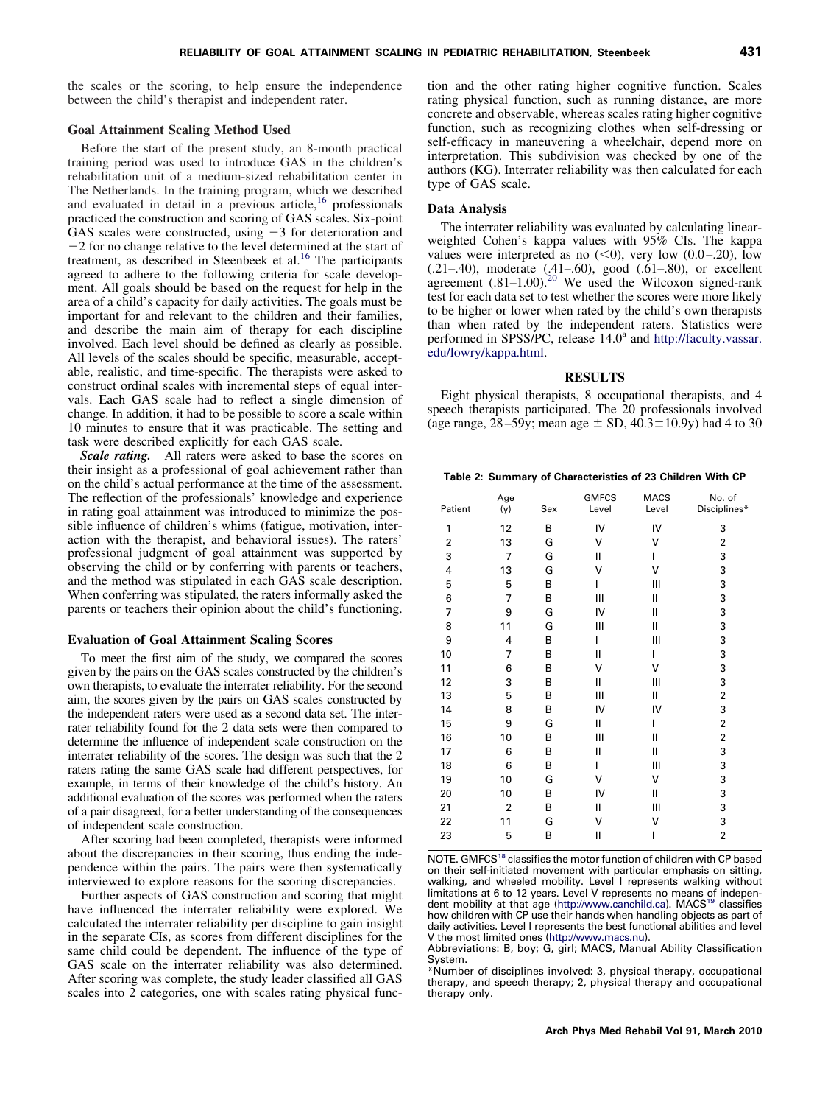<span id="page-2-0"></span>the scales or the scoring, to help ensure the independence between the child's therapist and independent rater.

## **Goal Attainment Scaling Method Used**

Before the start of the present study, an 8-month practical training period was used to introduce GAS in the children's rehabilitation unit of a medium-sized rehabilitation center in The Netherlands. In the training program, which we described and evaluated in detail in a previous article,<sup>[16](#page-6-0)</sup> professionals practiced the construction and scoring of GAS scales. Six-point GAS scales were constructed, using  $-3$  for deterioration and  $-2$  for no change relative to the level determined at the start of treatment, as described in Steenbeek et al.<sup>[16](#page-6-0)</sup> The participants agreed to adhere to the following criteria for scale development. All goals should be based on the request for help in the area of a child's capacity for daily activities. The goals must be important for and relevant to the children and their families, and describe the main aim of therapy for each discipline involved. Each level should be defined as clearly as possible. All levels of the scales should be specific, measurable, acceptable, realistic, and time-specific. The therapists were asked to construct ordinal scales with incremental steps of equal intervals. Each GAS scale had to reflect a single dimension of change. In addition, it had to be possible to score a scale within 10 minutes to ensure that it was practicable. The setting and task were described explicitly for each GAS scale.

*Scale rating.* All raters were asked to base the scores on their insight as a professional of goal achievement rather than on the child's actual performance at the time of the assessment. The reflection of the professionals' knowledge and experience in rating goal attainment was introduced to minimize the possible influence of children's whims (fatigue, motivation, interaction with the therapist, and behavioral issues). The raters' professional judgment of goal attainment was supported by observing the child or by conferring with parents or teachers, and the method was stipulated in each GAS scale description. When conferring was stipulated, the raters informally asked the parents or teachers their opinion about the child's functioning.

## **Evaluation of Goal Attainment Scaling Scores**

To meet the first aim of the study, we compared the scores given by the pairs on the GAS scales constructed by the children's own therapists, to evaluate the interrater reliability. For the second aim, the scores given by the pairs on GAS scales constructed by the independent raters were used as a second data set. The interrater reliability found for the 2 data sets were then compared to determine the influence of independent scale construction on the interrater reliability of the scores. The design was such that the 2 raters rating the same GAS scale had different perspectives, for example, in terms of their knowledge of the child's history. An additional evaluation of the scores was performed when the raters of a pair disagreed, for a better understanding of the consequences of independent scale construction.

After scoring had been completed, therapists were informed about the discrepancies in their scoring, thus ending the independence within the pairs. The pairs were then systematically interviewed to explore reasons for the scoring discrepancies.

Further aspects of GAS construction and scoring that might have influenced the interrater reliability were explored. We calculated the interrater reliability per discipline to gain insight in the separate CIs, as scores from different disciplines for the same child could be dependent. The influence of the type of GAS scale on the interrater reliability was also determined. After scoring was complete, the study leader classified all GAS scales into 2 categories, one with scales rating physical function and the other rating higher cognitive function. Scales rating physical function, such as running distance, are more concrete and observable, whereas scales rating higher cognitive function, such as recognizing clothes when self-dressing or self-efficacy in maneuvering a wheelchair, depend more on interpretation. This subdivision was checked by one of the authors (KG). Interrater reliability was then calculated for each type of GAS scale.

## **Data Analysis**

The interrater reliability was evaluated by calculating linearweighted Cohen's kappa values with 95% CIs. The kappa values were interpreted as no  $(<0)$ , very low  $(0.0-20)$ , low (.21–.40), moderate (.41–.60), good (.61–.80), or excellent agreement  $(.81-1.00).^{20}$  $(.81-1.00).^{20}$  $(.81-1.00).^{20}$  We used the Wilcoxon signed-rank test for each data set to test whether the scores were more likely to be higher or lower when rated by the child's own therapists than when rated by the independent raters. Statistics were performed in SPSS/PC, release 14.0<sup>a</sup> and [http://faculty.vassar.](http://faculty.vassar.edu/lowry/kappa.html) [edu/lowry/kappa.html.](http://faculty.vassar.edu/lowry/kappa.html)

### **RESULTS**

Eight physical therapists, 8 occupational therapists, and 4 speech therapists participated. The 20 professionals involved (age range,  $28-59y$ ; mean age  $\pm$  SD,  $40.3\pm10.9y$ ) had 4 to 30

**Table 2: Summary of Characteristics of 23 Children With CP**

| Patient | Age<br>(y)     | Sex | <b>GMFCS</b><br>Level | <b>MACS</b><br>Level | No. of<br>Disciplines*  |
|---------|----------------|-----|-----------------------|----------------------|-------------------------|
| 1       | 12             | B   | IV                    | IV                   | 3                       |
| 2       | 13             | G   | V                     | V                    | 2                       |
| 3       | 7              | G   | Ш                     | I                    | 3                       |
| 4       | 13             | G   | V                     | v                    | 3                       |
| 5       | 5              | B   | I                     | Ш                    | 3                       |
| 6       | 7              | B   | Ш                     | Ш                    | 3                       |
| 7       | 9              | G   | IV                    | Ш                    | 3                       |
| 8       | 11             | G   | Ш                     | Ш                    | 3                       |
| 9       | 4              | B   | I                     | Ш                    | 3                       |
| 10      | $\overline{7}$ | B   | Ш                     | ı                    | 3                       |
| 11      | 6              | B   | ٧                     | ٧                    | 3                       |
| 12      | 3              | B   | Ш                     | Ш                    | 3                       |
| 13      | 5              | B   | Ш                     | Ш                    | $\overline{\mathbf{c}}$ |
| 14      | 8              | B   | IV                    | IV                   | 3                       |
| 15      | 9              | G   | Ш                     | ı                    | 2                       |
| 16      | 10             | B   | Ш                     | $\mathbf{I}$         | 2                       |
| 17      | 6              | B   | Ш                     | Ш                    | 3                       |
| 18      | 6              | B   | ı                     | Ш                    | 3                       |
| 19      | 10             | G   | V                     | V                    | 3                       |
| 20      | 10             | B   | IV                    | Ш                    | 3                       |
| 21      | $\overline{2}$ | B   | Ш                     | Ш                    | 3                       |
| 22      | 11             | G   | V                     | ٧                    | 3                       |
| 23      | 5              | B   | Ш                     | ı                    | $\overline{\mathbf{c}}$ |

NOTE. GMFCS<sup>18</sup> classifies the motor function of children with CP based on their self-initiated movement with particular emphasis on sitting, walking, and wheeled mobility. Level I represents walking without limitations at 6 to 12 years. Level V represents no means of indepen-<br>dent mobility at that age [\(http://www.canchild.ca\)](http://www.canchild.ca). MACS<sup>19</sup> classifies how children with CP use their hands when handling objects as part of daily activities. Level I represents the best functional abilities and level V the most limited ones [\(http://www.macs.nu\)](http://www.macs.nu).

Abbreviations: B, boy; G, girl; MACS, Manual Ability Classification System.

\*Number of disciplines involved: 3, physical therapy, occupational therapy, and speech therapy; 2, physical therapy and occupational therapy only.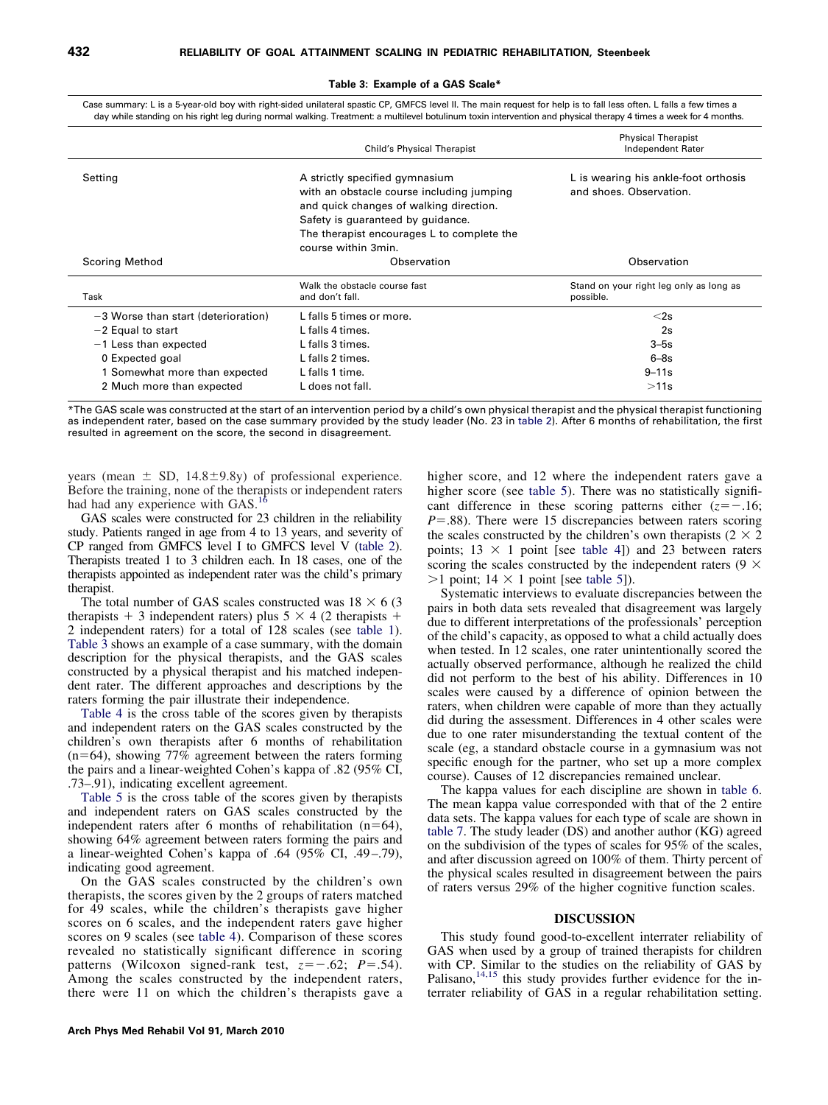#### **Table 3: Example of a GAS Scale\***

Case summary: L is a 5-year-old boy with right-sided unilateral spastic CP, GMFCS level II. The main request for help is to fall less often. L falls a few times a day while standing on his right leg during normal walking. Treatment: a multilevel botulinum toxin intervention and physical therapy 4 times a week for 4 months.

|                                     | <b>Child's Physical Therapist</b>                                                                                                                           |                                                                 |  |
|-------------------------------------|-------------------------------------------------------------------------------------------------------------------------------------------------------------|-----------------------------------------------------------------|--|
| Setting                             | A strictly specified gymnasium<br>with an obstacle course including jumping<br>and quick changes of walking direction.<br>Safety is guaranteed by guidance. | L is wearing his ankle-foot orthosis<br>and shoes. Observation. |  |
|                                     | The therapist encourages L to complete the<br>course within 3min.                                                                                           |                                                                 |  |
| <b>Scoring Method</b>               | Observation                                                                                                                                                 | Observation                                                     |  |
| Task                                | Walk the obstacle course fast<br>and don't fall.                                                                                                            | Stand on your right leg only as long as<br>possible.            |  |
| -3 Worse than start (deterioration) | L falls 5 times or more.                                                                                                                                    | $<$ 2s                                                          |  |
| $-2$ Equal to start                 | L falls 4 times.                                                                                                                                            | 2s                                                              |  |
| $-1$ Less than expected             | L falls 3 times.                                                                                                                                            | $3-5s$                                                          |  |
| 0 Expected goal                     | L falls 2 times.                                                                                                                                            | $6-8s$                                                          |  |
| 1 Somewhat more than expected       | L falls 1 time.                                                                                                                                             | $9 - 11s$                                                       |  |
| 2 Much more than expected           | L does not fall.                                                                                                                                            | >11s                                                            |  |

\*The GAS scale was constructed at the start of an intervention period by a child's own physical therapist and the physical therapist functioning as independent rater, based on the case summary provided by the study leader (No. 23 in [table 2\)](#page-2-0). After 6 months of rehabilitation, the first resulted in agreement on the score, the second in disagreement.

years (mean  $\pm$  SD, 14.8 $\pm$ 9.8y) of professional experience. Before the training, none of the therapists or independent raters had had any experience with GAS.<sup>16</sup>

GAS scales were constructed for 23 children in the reliability study. Patients ranged in age from 4 to 13 years, and severity of CP ranged from GMFCS level I to GMFCS level V [\(table 2\)](#page-2-0). Therapists treated 1 to 3 children each. In 18 cases, one of the therapists appointed as independent rater was the child's primary therapist.

The total number of GAS scales constructed was  $18 \times 6$  (3) therapists  $+3$  independent raters) plus  $5 \times 4$  (2 therapists  $+$ 2 independent raters) for a total of 128 scales (see [table 1\)](#page-1-0). Table 3 shows an example of a case summary, with the domain description for the physical therapists, and the GAS scales constructed by a physical therapist and his matched independent rater. The different approaches and descriptions by the raters forming the pair illustrate their independence.

[Table 4](#page-4-0) is the cross table of the scores given by therapists and independent raters on the GAS scales constructed by the children's own therapists after 6 months of rehabilitation  $(n=64)$ , showing 77% agreement between the raters forming the pairs and a linear-weighted Cohen's kappa of .82 (95% CI, .73–.91), indicating excellent agreement.

[Table 5](#page-4-0) is the cross table of the scores given by therapists and independent raters on GAS scales constructed by the independent raters after 6 months of rehabilitation  $(n=64)$ , showing 64% agreement between raters forming the pairs and a linear-weighted Cohen's kappa of .64 (95% CI, .49–.79), indicating good agreement.

On the GAS scales constructed by the children's own therapists, the scores given by the 2 groups of raters matched for 49 scales, while the children's therapists gave higher scores on 6 scales, and the independent raters gave higher scores on 9 scales (see [table 4\)](#page-4-0). Comparison of these scores revealed no statistically significant difference in scoring patterns (Wilcoxon signed-rank test,  $z=-.62$ ;  $P=.54$ ). Among the scales constructed by the independent raters, there were 11 on which the children's therapists gave a

higher score, and 12 where the independent raters gave a higher score (see [table 5\)](#page-4-0). There was no statistically significant difference in these scoring patterns either  $(z=-.16;$ *P*=.88). There were 15 discrepancies between raters scoring the scales constructed by the children's own therapists ( $2 \times 2$ ) points;  $13 \times 1$  point [see [table 4\]](#page-4-0)) and 23 between raters scoring the scales constructed by the independent raters ( $9 \times$  $>1$  point;  $14 \times 1$  point [see [table 5\]](#page-4-0)).

Systematic interviews to evaluate discrepancies between the pairs in both data sets revealed that disagreement was largely due to different interpretations of the professionals' perception of the child's capacity, as opposed to what a child actually does when tested. In 12 scales, one rater unintentionally scored the actually observed performance, although he realized the child did not perform to the best of his ability. Differences in 10 scales were caused by a difference of opinion between the raters, when children were capable of more than they actually did during the assessment. Differences in 4 other scales were due to one rater misunderstanding the textual content of the scale (eg, a standard obstacle course in a gymnasium was not specific enough for the partner, who set up a more complex course). Causes of 12 discrepancies remained unclear.

The kappa values for each discipline are shown in [table 6.](#page-5-0) The mean kappa value corresponded with that of the 2 entire data sets. The kappa values for each type of scale are shown in [table 7.](#page-5-0) The study leader (DS) and another author (KG) agreed on the subdivision of the types of scales for 95% of the scales, and after discussion agreed on 100% of them. Thirty percent of the physical scales resulted in disagreement between the pairs of raters versus 29% of the higher cognitive function scales.

## **DISCUSSION**

This study found good-to-excellent interrater reliability of GAS when used by a group of trained therapists for children with CP. Similar to the studies on the reliability of GAS by Palisano, $14,15$  this study provides further evidence for the interrater reliability of GAS in a regular rehabilitation setting.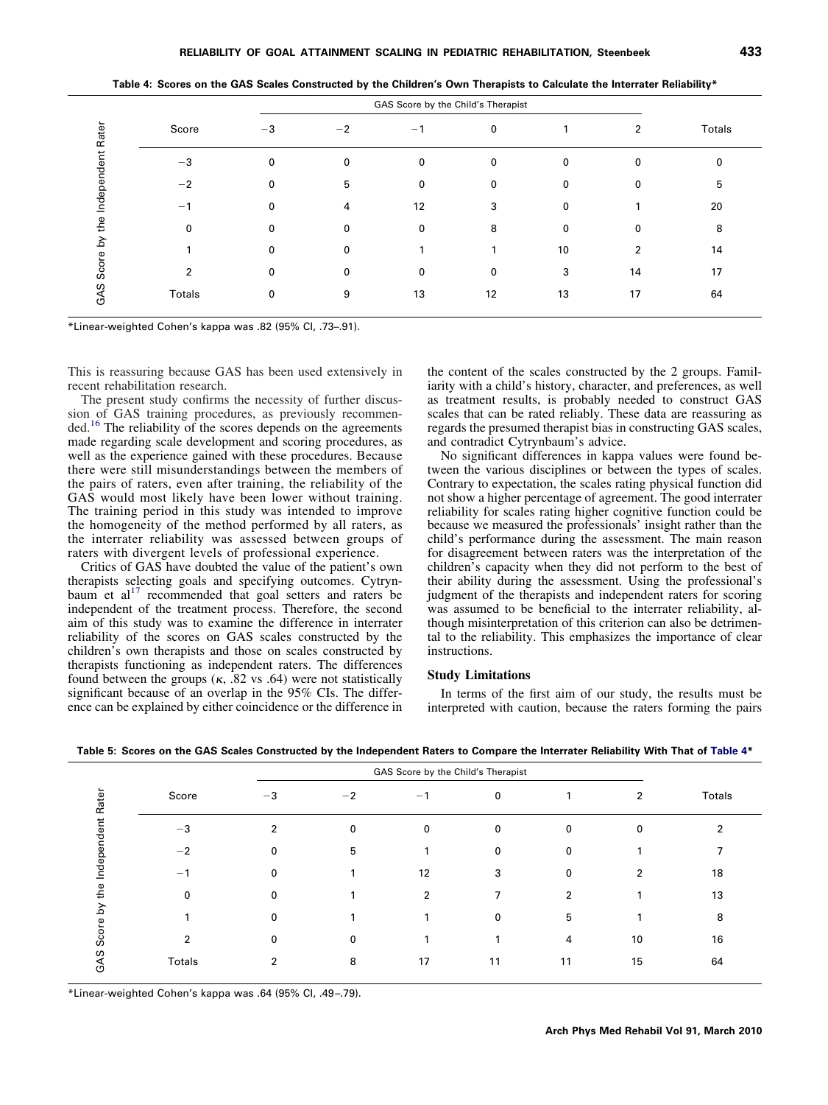<span id="page-4-0"></span>

|             |        |      | GAS Score by the Child's Therapist |    |    |    |          |               |
|-------------|--------|------|------------------------------------|----|----|----|----------|---------------|
| Rater       | Score  | $-3$ | $-2$                               | -1 | 0  |    | 2        | <b>Totals</b> |
| Independent | $-3$   | 0    | $\Omega$                           | 0  | 0  | 0  | 0        | 0             |
|             | $-2$   | 0    | 5                                  | 0  | 0  | 0  | $\Omega$ | 5             |
|             | — '    | 0    | 4                                  | 12 | 3  | 0  |          | 20            |
| the         | 0      | 0    | $\Omega$                           | 0  | 8  | 0  | 0        | 8             |
| 오           |        | 0    | 0                                  |    |    | 10 | 2        | 14            |
| Score       | າ      | 0    | 0                                  | 0  | 0  | 3  | 14       | 17            |
| GAS         | Totals | 0    | 9                                  | 13 | 12 | 13 | 17       | 64            |

**Table 4: Scores on the GAS Scales Constructed by the Children's Own Therapists to Calculate the Interrater Reliability\***

\*Linear-weighted Cohen's kappa was .82 (95% CI, .73–.91).

This is reassuring because GAS has been used extensively in recent rehabilitation research.

The present study confirms the necessity of further discussion of GAS training procedures, as previously recommen-ded.<sup>[16](#page-6-0)</sup> The reliability of the scores depends on the agreements made regarding scale development and scoring procedures, as well as the experience gained with these procedures. Because there were still misunderstandings between the members of the pairs of raters, even after training, the reliability of the GAS would most likely have been lower without training. The training period in this study was intended to improve the homogeneity of the method performed by all raters, as the interrater reliability was assessed between groups of raters with divergent levels of professional experience.

Critics of GAS have doubted the value of the patient's own therapists selecting goals and specifying outcomes. Cytrynbaum et  $al<sup>17</sup>$  $al<sup>17</sup>$  $al<sup>17</sup>$  recommended that goal setters and raters be independent of the treatment process. Therefore, the second aim of this study was to examine the difference in interrater reliability of the scores on GAS scales constructed by the children's own therapists and those on scales constructed by therapists functioning as independent raters. The differences found between the groups  $(\kappa, .82 \text{ vs } .64)$  were not statistically significant because of an overlap in the 95% CIs. The difference can be explained by either coincidence or the difference in

the content of the scales constructed by the 2 groups. Familiarity with a child's history, character, and preferences, as well as treatment results, is probably needed to construct GAS scales that can be rated reliably. These data are reassuring as regards the presumed therapist bias in constructing GAS scales, and contradict Cytrynbaum's advice.

No significant differences in kappa values were found between the various disciplines or between the types of scales. Contrary to expectation, the scales rating physical function did not show a higher percentage of agreement. The good interrater reliability for scales rating higher cognitive function could be because we measured the professionals' insight rather than the child's performance during the assessment. The main reason for disagreement between raters was the interpretation of the children's capacity when they did not perform to the best of their ability during the assessment. Using the professional's judgment of the therapists and independent raters for scoring was assumed to be beneficial to the interrater reliability, although misinterpretation of this criterion can also be detrimental to the reliability. This emphasizes the importance of clear instructions.

## **Study Limitations**

In terms of the first aim of our study, the results must be interpreted with caution, because the raters forming the pairs

|             |          |                | GAS Score by the Child's Therapist |                |    |                |                |        |
|-------------|----------|----------------|------------------------------------|----------------|----|----------------|----------------|--------|
| Rater       | Score    | $-3$           | $-2$                               | $-1$           | 0  |                | $\overline{2}$ | Totals |
| Independent | $-3$     | $\overline{2}$ | 0                                  | 0              | 0  | 0              | 0              |        |
|             | $-2$     | $\Omega$       | 5                                  |                | 0  | $\Omega$       |                |        |
|             | $-1$     | 0              |                                    | 12             | 3  | 0              | $\overline{2}$ | 18     |
| the         | $\Omega$ | 0              |                                    | $\overline{2}$ |    | $\overline{2}$ |                | 13     |
| इ<br>Φ      |          | 0              |                                    |                | 0  | 5              |                | 8      |
| Sco         | 2        | 0              | $\Omega$                           |                |    | 4              | 10             | 16     |
| ပ<br>Š      | Totals   | $\overline{2}$ | 8                                  | 17             | 11 | 11             | 15             | 64     |

**Table 5: Scores on the GAS Scales Constructed by the Independent Raters to Compare the Interrater Reliability With That of Table 4\***

\*Linear-weighted Cohen's kappa was .64 (95% CI, .49 –.79).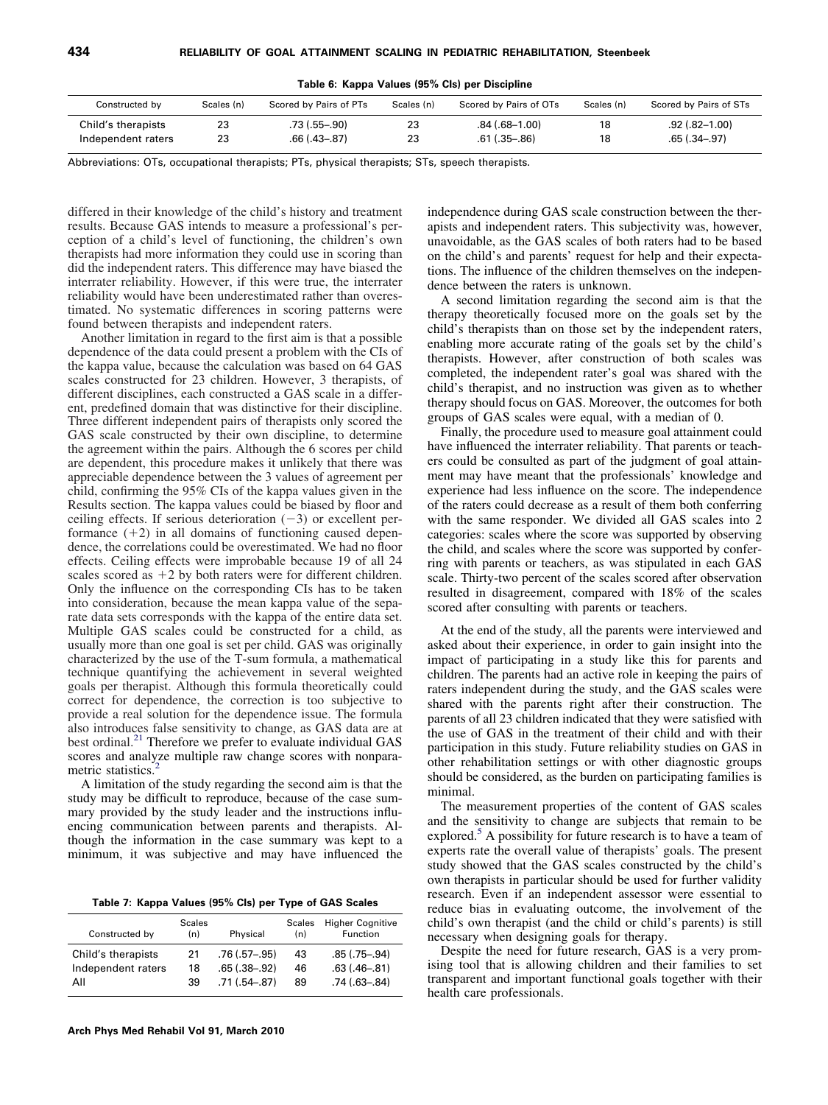<span id="page-5-0"></span>

| Constructed by     | Scales (n) | Scored by Pairs of PTs | Scales (n) | Scored by Pairs of OTs | Scales (n) | Scored by Pairs of STs |
|--------------------|------------|------------------------|------------|------------------------|------------|------------------------|
| Child's therapists | 23         | .73 (.55–.90)          | 23         | $.84(0.68 - 1.00)$     | 18         | $.92(0.82 - 1.00)$     |
| Independent raters | 23         | .66 (.43–.87)          | 23         | $.61$ $(.35-.86)$      | 18         | .65 (.34–.97)          |

Abbreviations: OTs, occupational therapists; PTs, physical therapists; STs, speech therapists.

differed in their knowledge of the child's history and treatment results. Because GAS intends to measure a professional's perception of a child's level of functioning, the children's own therapists had more information they could use in scoring than did the independent raters. This difference may have biased the interrater reliability. However, if this were true, the interrater reliability would have been underestimated rather than overestimated. No systematic differences in scoring patterns were found between therapists and independent raters.

Another limitation in regard to the first aim is that a possible dependence of the data could present a problem with the CIs of the kappa value, because the calculation was based on 64 GAS scales constructed for 23 children. However, 3 therapists, of different disciplines, each constructed a GAS scale in a different, predefined domain that was distinctive for their discipline. Three different independent pairs of therapists only scored the GAS scale constructed by their own discipline, to determine the agreement within the pairs. Although the 6 scores per child are dependent, this procedure makes it unlikely that there was appreciable dependence between the 3 values of agreement per child, confirming the 95% CIs of the kappa values given in the Results section. The kappa values could be biased by floor and ceiling effects. If serious deterioration  $(-3)$  or excellent performance  $(+2)$  in all domains of functioning caused dependence, the correlations could be overestimated. We had no floor effects. Ceiling effects were improbable because 19 of all 24 scales scored as  $+2$  by both raters were for different children. Only the influence on the corresponding CIs has to be taken into consideration, because the mean kappa value of the separate data sets corresponds with the kappa of the entire data set. Multiple GAS scales could be constructed for a child, as usually more than one goal is set per child. GAS was originally characterized by the use of the T-sum formula, a mathematical technique quantifying the achievement in several weighted goals per therapist. Although this formula theoretically could correct for dependence, the correction is too subjective to provide a real solution for the dependence issue. The formula also introduces false sensitivity to change, as GAS data are at best ordinal.<sup>[21](#page-6-0)</sup> Therefore we prefer to evaluate individual GAS scores and analyze multiple raw change scores with nonparametric statistics.

A limitation of the study regarding the second aim is that the study may be difficult to reproduce, because of the case summary provided by the study leader and the instructions influencing communication between parents and therapists. Although the information in the case summary was kept to a minimum, it was subjective and may have influenced the

**Table 7: Kappa Values (95% CIs) per Type of GAS Scales**

| Constructed by     | <b>Scales</b><br>(n) | Physical       | Scales<br>(n) | <b>Higher Cognitive</b><br>Function |
|--------------------|----------------------|----------------|---------------|-------------------------------------|
| Child's therapists | 21                   | .76 (.57–.95)  | 43            | .85 (.75 - .94)                     |
| Independent raters | 18                   | $.65(.38-.92)$ | 46            | $.63(0.46 - 0.81)$                  |
| All                | 39                   | $.71(.54-.87)$ | 89            | $.74(0.63 - 0.84)$                  |

independence during GAS scale construction between the therapists and independent raters. This subjectivity was, however, unavoidable, as the GAS scales of both raters had to be based on the child's and parents' request for help and their expectations. The influence of the children themselves on the independence between the raters is unknown.

A second limitation regarding the second aim is that the therapy theoretically focused more on the goals set by the child's therapists than on those set by the independent raters, enabling more accurate rating of the goals set by the child's therapists. However, after construction of both scales was completed, the independent rater's goal was shared with the child's therapist, and no instruction was given as to whether therapy should focus on GAS. Moreover, the outcomes for both groups of GAS scales were equal, with a median of 0.

Finally, the procedure used to measure goal attainment could have influenced the interrater reliability. That parents or teachers could be consulted as part of the judgment of goal attainment may have meant that the professionals' knowledge and experience had less influence on the score. The independence of the raters could decrease as a result of them both conferring with the same responder. We divided all GAS scales into 2 categories: scales where the score was supported by observing the child, and scales where the score was supported by conferring with parents or teachers, as was stipulated in each GAS scale. Thirty-two percent of the scales scored after observation resulted in disagreement, compared with 18% of the scales scored after consulting with parents or teachers.

At the end of the study, all the parents were interviewed and asked about their experience, in order to gain insight into the impact of participating in a study like this for parents and children. The parents had an active role in keeping the pairs of raters independent during the study, and the GAS scales were shared with the parents right after their construction. The parents of all 23 children indicated that they were satisfied with the use of GAS in the treatment of their child and with their participation in this study. Future reliability studies on GAS in other rehabilitation settings or with other diagnostic groups should be considered, as the burden on participating families is minimal.

The measurement properties of the content of GAS scales and the sensitivity to change are subjects that remain to be explored.<sup>5</sup> A possibility for future research is to have a team of experts rate the overall value of therapists' goals. The present study showed that the GAS scales constructed by the child's own therapists in particular should be used for further validity research. Even if an independent assessor were essential to reduce bias in evaluating outcome, the involvement of the child's own therapist (and the child or child's parents) is still necessary when designing goals for therapy.

Despite the need for future research, GAS is a very promising tool that is allowing children and their families to set transparent and important functional goals together with their health care professionals.